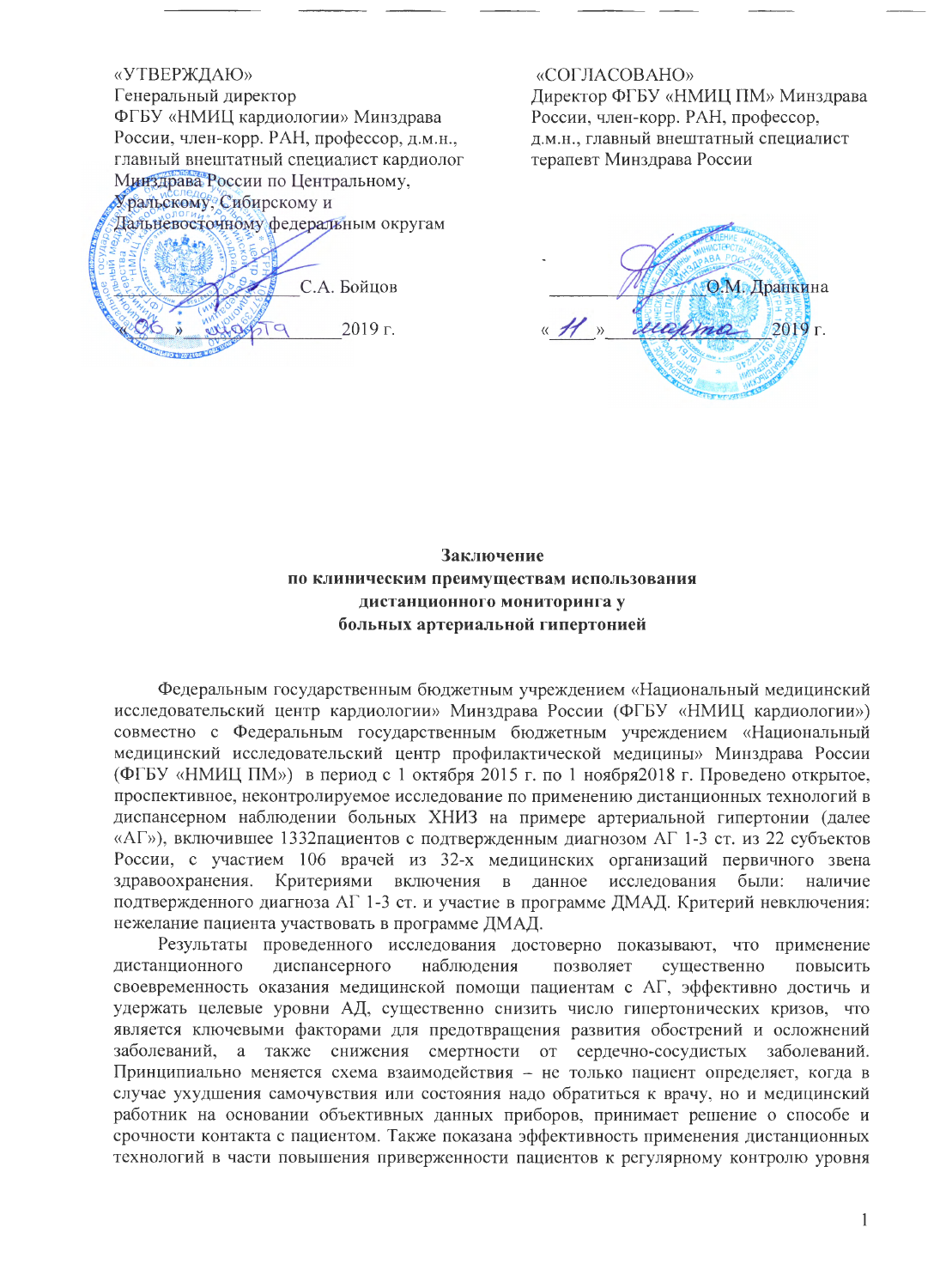«УТВЕРЖДАЮ» Генеральный директор ФГБУ «НМИЦ кардиологии» Минздрава России, член-корр. РАН, профессор, д.м.н., главный внештатный специалист кардиолог Минздрава России по Центральному, Уральскому. Сибирскому и Дальневосточному федеральным округам С.А. Бойцов 2019 г.

#### «СОГЛАСОВАНО»

Директор ФГБУ «НМИЦ ПМ» Минздрава России, член-корр. РАН, профессор, д.м.н., главный внештатный специалист терапевт Минздрава России



# Заключение по клиническим преимуществам использования дистанционного мониторинга у больных артериальной гипертонией

Федеральным государственным бюджетным учреждением «Национальный медицинский исследовательский центр кардиологии» Минздрава России (ФГБУ «НМИЦ кардиологии») совместно с Федеральным государственным бюджетным учреждением «Национальный медицинский исследовательский центр профилактической медицины» Минздрава России (ФГБУ «НМИЦ ПМ») в период с 1 октября 2015 г. по 1 ноября 2018 г. Проведено открытое, проспективное, неконтролируемое исследование по применению дистанционных технологий в диспансерном наблюдении больных ХНИЗ на примере артериальной гипертонии (далее «АГ»), включившее 1332 пациентов с подтвержденным диагнозом АГ 1-3 ст. из 22 субъектов России, с участием 106 врачей из 32-х медицинских организаций первичного звена здравоохранения. Критериями включения в данное исследования были: наличие подтвержденного диагноза АГ 1-3 ст. и участие в программе ДМАД. Критерий невключения: нежелание пациента участвовать в программе ДМАД.

Результаты проведенного исследования достоверно показывают, что применение дистанционного диспансерного наблюдения позволяет существенно повысить своевременность оказания медицинской помощи пациентам с АГ, эффективно достичь и удержать целевые уровни АД, существенно снизить число гипертонических кризов, что является ключевыми факторами для предотвращения развития обострений и осложнений заболеваний, а также снижения смертности от сердечно-сосудистых заболеваний. Принципиально меняется схема взаимодействия - не только пациент определяет, когда в случае ухудшения самочувствия или состояния надо обратиться к врачу, но и медицинский работник на основании объективных данных приборов, принимает решение о способе и срочности контакта с пациентом. Также показана эффективность применения дистанционных технологий в части повышения приверженности пациентов к регулярному контролю уровня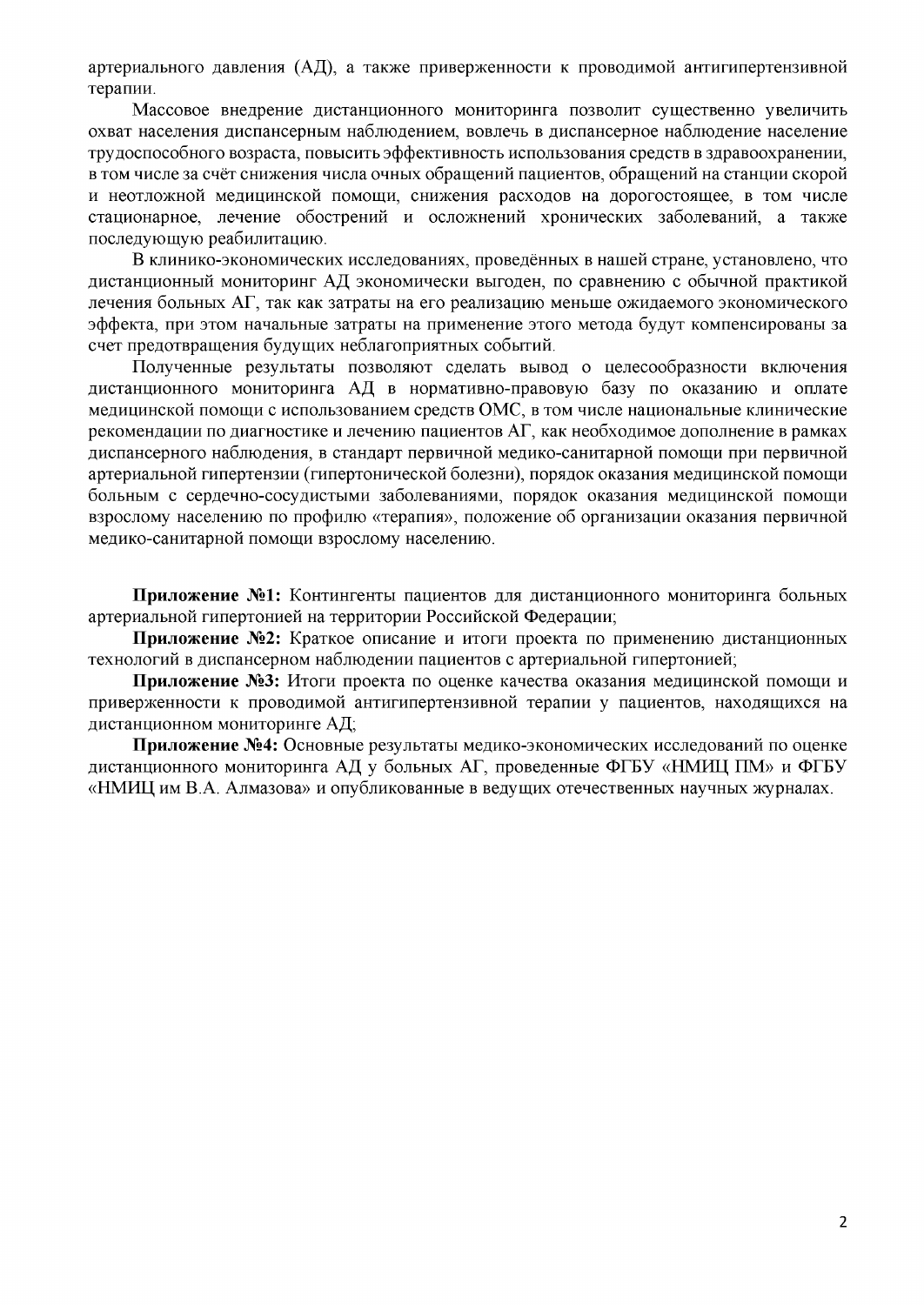артериального давления (АД), а также приверженности к проводимой антигипертензивной терапии.

Массовое внедрение дистанционного мониторинга позволит существенно увеличить охват населения диспансерным наблюдением, вовлечь в диспансерное наблюдение население трудоспособного возраста, повысить эффективность использования средств в здравоохранении, в том числе за счёт снижения числа очных обращений пациентов, обращений на станции скорой и неотложной медицинской помощи, снижения расходов на дорогостоящее, в том числе стационарное, лечение обострений и осложнений хронических заболеваний, а также последующую реабилитацию.

В клинико-экономических исследованиях, проведённых в нашей стране, установлено, что дистанционный мониторинг АД экономически выгоден, по сравнению с обычной практикой лечения больных АГ, так как затраты на его реализацию меньше ожидаемого экономического эффекта, при этом начальные затраты на применение этого метода будут компенсированы за счет предотвращения будущих неблагоприятных событий.

Полученные результаты позволяют сделать вывод о целесообразности включения дистанционного мониторинга АД в нормативно-правовую базу по оказанию и оплате медицинской помощи с использованием средств ОМС, в том числе национальные клинические рекомендации по диагностике и лечению пациентов АГ, как необходимое дополнение в рамках диспансерного наблюдения, в стандарт первичной медико-санитарной помощи при первичной артериальной гипертензии (гипертонической болезни), порядок оказания медицинской помощи больным с сердечно-сосудистыми заболеваниями, порядок оказания медицинской помощи взрослому населению по профилю «терапия», положение об организации оказания первичной медико-санитарной помощи взрослому населению.

Приложение №1: Контингенты пациентов для дистанционного мониторинга больных артериальной гипертонией на территории Российской Федерации;

Приложение №2: Краткое описание и итоги проекта по применению дистанционных технологий в диспансерном наблюдении пациентов с артериальной гипертонией;

Приложение №3: Итоги проекта по оценке качества оказания медицинской помощи и приверженности к проводимой антигипертензивной терапии у пациентов, находящихся на дистанционном мониторинге АД;

Приложение №4: Основные результаты медико-экономических исследований по оценке дистанционного мониторинга АД у больных АГ, проведенные ФГБУ «НМИЦ ПМ» и ФГБУ «НМИЦ им В.А. Алмазова» и опубликованные в ведущих отечественных научных журналах.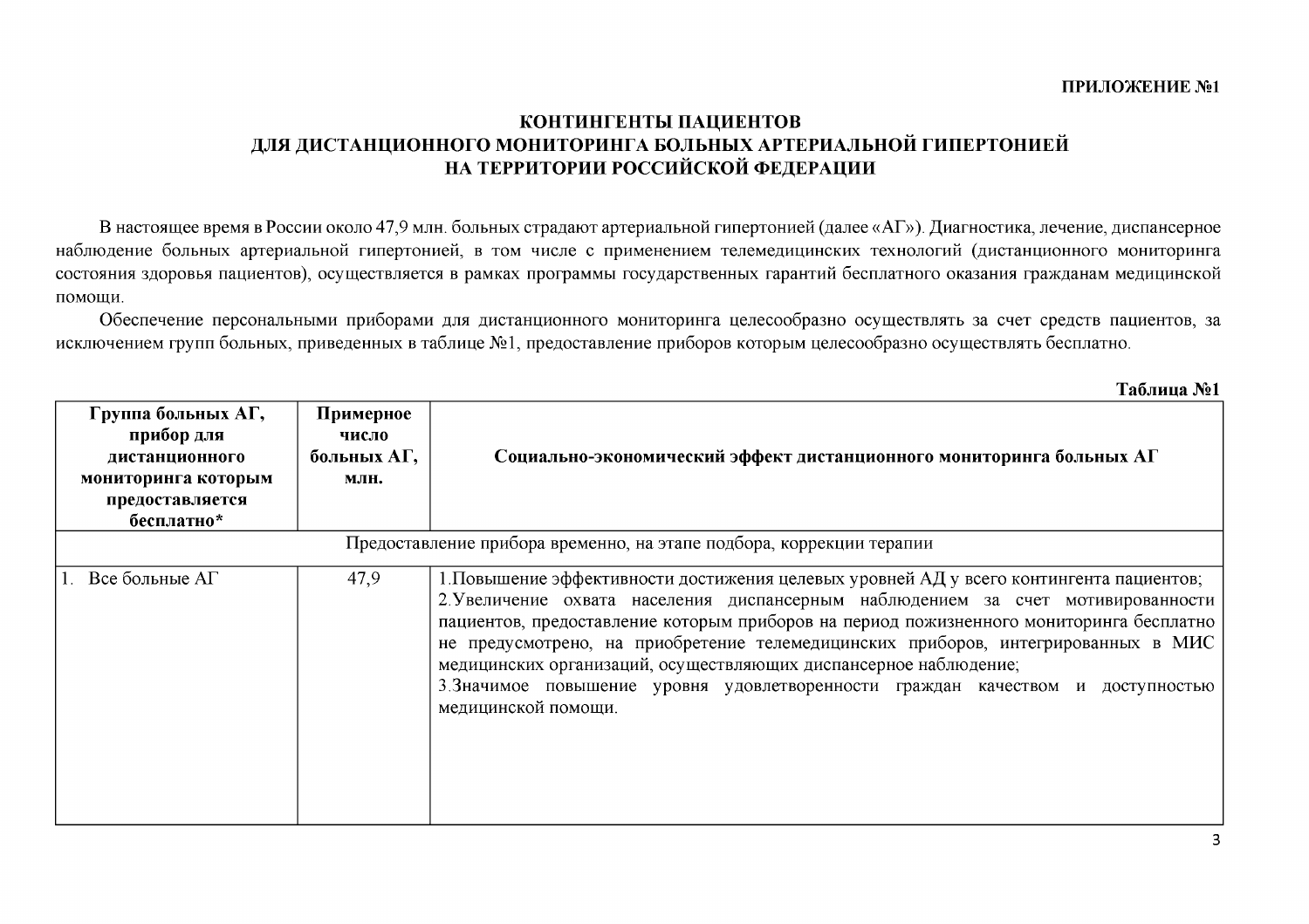# КОНТИНГЕНТЫ ПАЦИЕНТОВ ДЛЯ ДИСТАНЦИОННОГО МОНИТОРИНГА БОЛЬНЫХ АРТЕРИАЛЬНОЙ ГИПЕРТОНИЕЙ НА ТЕРРИТОРИИ РОССИЙСКОЙ ФЕДЕРАЦИИ

В настоящее время в России около 47,9 млн. больных страдают артериальной гипертонией (далее «АГ»). Диагностика, лечение, диспансерное наблюдение больных артериальной гипертонией, в том числе с применением телемедицинских технологий (дистанционного мониторинга состояния здоровья пациентов), осуществляется в рамках программы государственных гарантий бесплатного оказания гражданам медицинской помощи.

Обеспечение персональными приборами для дистанционного мониторинга целесообразно осуществлять за счет средств пациентов, за исключением групп больных, приведенных в таблице №1, предоставление приборов которым целесообразно осуществлять бесплатно.

| Группа больных АГ,<br>прибор для<br>дистанционного<br>мониторинга которым<br>предоставляется<br>бесплатно* | Примерное<br>число<br>больных А $\Gamma$ ,<br>МЛН. | Социально-экономический эффект дистанционного мониторинга больных АГ                                                                                                                                                                                                                                                                                                                                                                                                                                                                      |  |  |  |
|------------------------------------------------------------------------------------------------------------|----------------------------------------------------|-------------------------------------------------------------------------------------------------------------------------------------------------------------------------------------------------------------------------------------------------------------------------------------------------------------------------------------------------------------------------------------------------------------------------------------------------------------------------------------------------------------------------------------------|--|--|--|
| Предоставление прибора временно, на этапе подбора, коррекции терапии                                       |                                                    |                                                                                                                                                                                                                                                                                                                                                                                                                                                                                                                                           |  |  |  |
| 1. Все больные АГ                                                                                          | 47,9                                               | 1. Повышение эффективности достижения целевых уровней АД у всего контингента пациентов;<br>2. Увеличение охвата населения диспансерным наблюдением за счет мотивированности<br>пациентов, предоставление которым приборов на период пожизненного мониторинга бесплатно<br>не предусмотрено, на приобретение телемедицинских приборов, интегрированных в МИС<br>медицинских организаций, осуществляющих диспансерное наблюдение;<br>3. Значимое повышение уровня удовлетворенности граждан качеством и доступностью<br>медицинской помощи. |  |  |  |

Таблина №1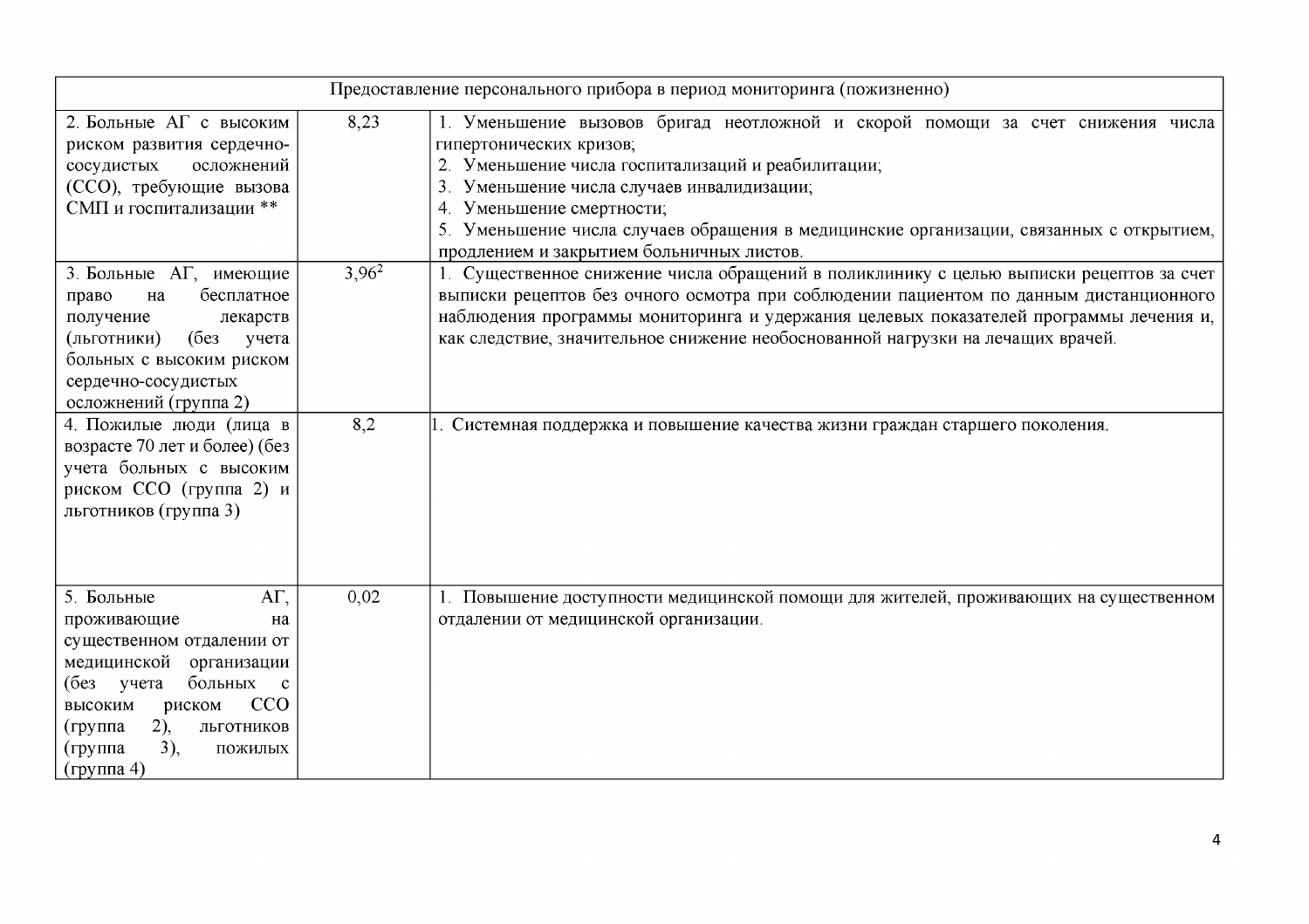| Предоставление персонального прибора в период мониторинга (пожизненно)                                                                                                                                                                        |          |                                                                                                                                                                                                                                                                                                                                                                                    |  |  |  |
|-----------------------------------------------------------------------------------------------------------------------------------------------------------------------------------------------------------------------------------------------|----------|------------------------------------------------------------------------------------------------------------------------------------------------------------------------------------------------------------------------------------------------------------------------------------------------------------------------------------------------------------------------------------|--|--|--|
| 2. Больные АГ с высоким<br>риском развития сердечно-<br>осложнений<br>сосудистых<br>(ССО), требующие вызова<br>СМП и госпитализации **                                                                                                        | 8,23     | 1. Уменьшение вызовов бригад неотложной и скорой помощи за счет снижения числа<br>гипертонических кризов;<br>2. Уменьшение числа госпитализаций и реабилитации;<br>3. Уменьшение числа случаев инвалидизации;<br>4. Уменьшение смертности;<br>5. Уменьшение числа случаев обращения в медицинские организации, связанных с открытием,<br>продлением и закрытием больничных листов. |  |  |  |
| 3. Больные АГ, имеющие<br>бесплатное<br>право<br>на<br>получение<br>лекарств<br>(6e <sub>3</sub> )<br>(льготники)<br>учета<br>больных с высоким риском<br>сердечно-сосудистых<br>осложнений (группа 2)                                        | $3,96^2$ | 1. Существенное снижение числа обращений в поликлинику с целью выписки рецептов за счет<br>выписки рецептов без очного осмотра при соблюдении пациентом по данным дистанционного<br>наблюдения программы мониторинга и удержания целевых показателей программы лечения и,<br>как следствие, значительное снижение необоснованной нагрузки на лечащих врачей.                       |  |  |  |
| 4. Пожилые люди (лица в<br>возрасте 70 лет и более) (без<br>учета больных с высоким<br>риском ССО (группа 2) и<br>льготников (группа 3)                                                                                                       | 8,2      | Системная поддержка и повышение качества жизни граждан старшего поколения.                                                                                                                                                                                                                                                                                                         |  |  |  |
| $AT$ ,<br>5. Больные<br>проживающие<br>на<br>существенном отдалении от<br>медицинской организации<br>больных с<br>(без учета<br><b>CCO</b><br>высоким<br>риском<br>$2)$ ,<br>(группа<br>ЛЬГОТНИКОВ<br>3),<br>(группа<br>пожилых<br>(группа 4) | 0,02     | 1. Повышение доступности медицинской помощи для жителей, проживающих на существенном<br>отдалении от медицинской организации.                                                                                                                                                                                                                                                      |  |  |  |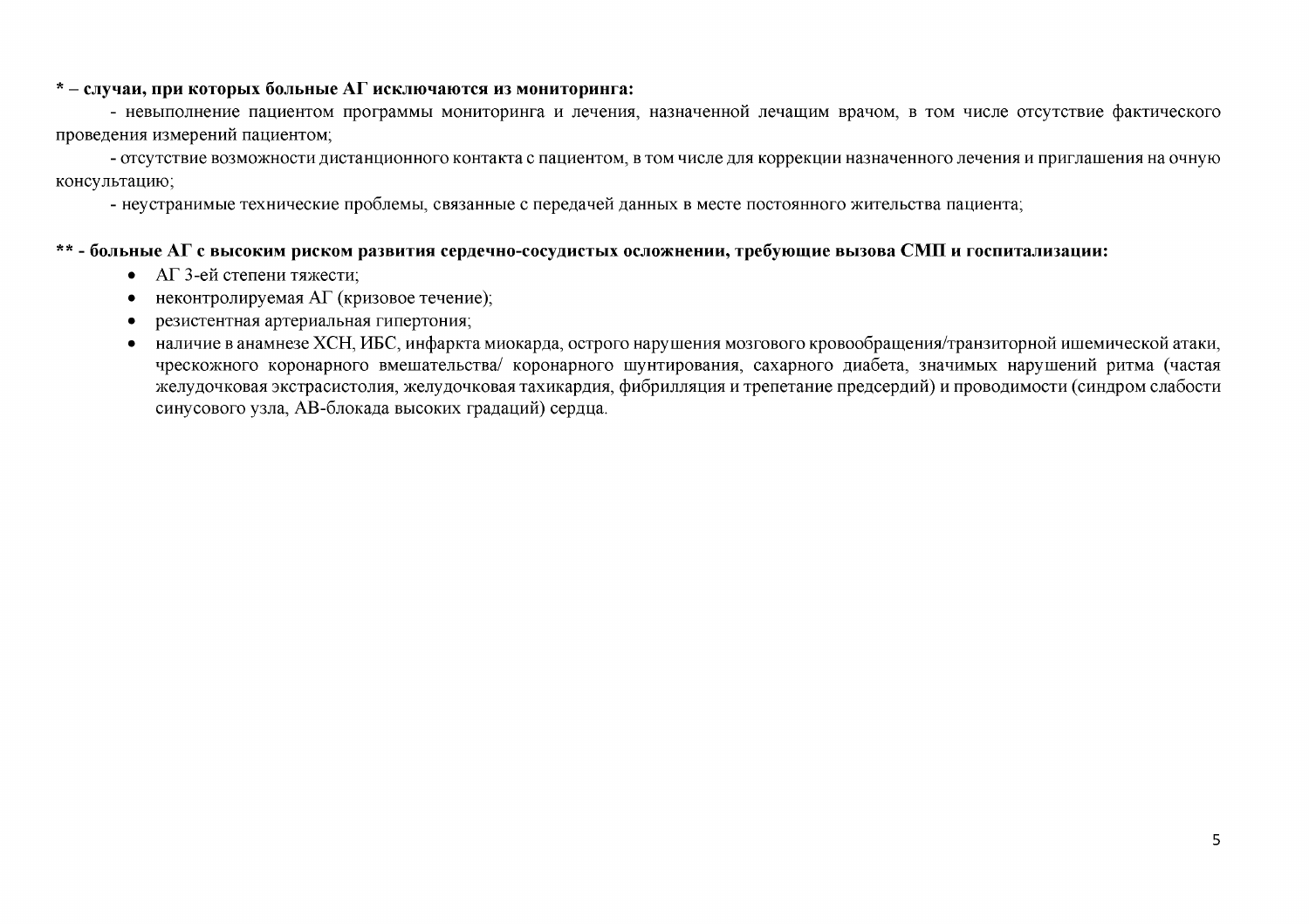#### $*$  – случаи, при которых больные АГ исключаются из мониторинга:

- невыполнение пациентом программы мониторинга и лечения, назначенной лечащим врачом, в том числе отсутствие фактического проведения измерений пациентом;

- отсутствие возможности дистанционного контакта с пациентом, в том числе для коррекции назначенного лечения и приглашения на очную консультацию;

- неустранимые технические проблемы, связанные с передачей данных в месте постоянного жительства пациента;

### \*\* - больные АГ с высоким риском развития сердечно-сосудистых осложнении, требующие вызова СМП и госпитализации:

- АГ 3-ей степени тяжести:
- неконтролируемая АГ (кризовое течение);  $\bullet$
- резистентная артериальная гипертония;
- наличие в анамнезе ХСН, ИБС, инфаркта миокарда, острого нарушения мозгового кровообращения/транзиторной ишемической атаки, чрескожного коронарного вмешательства/ коронарного шунтирования, сахарного диабета, значимых нарушений ритма (частая желудочковая экстрасистолия, желудочковая тахикардия, фибрилляция и трепетание предсердий) и проводимости (синдром слабости синусового узла, АВ-блокада высоких градаций) сердца.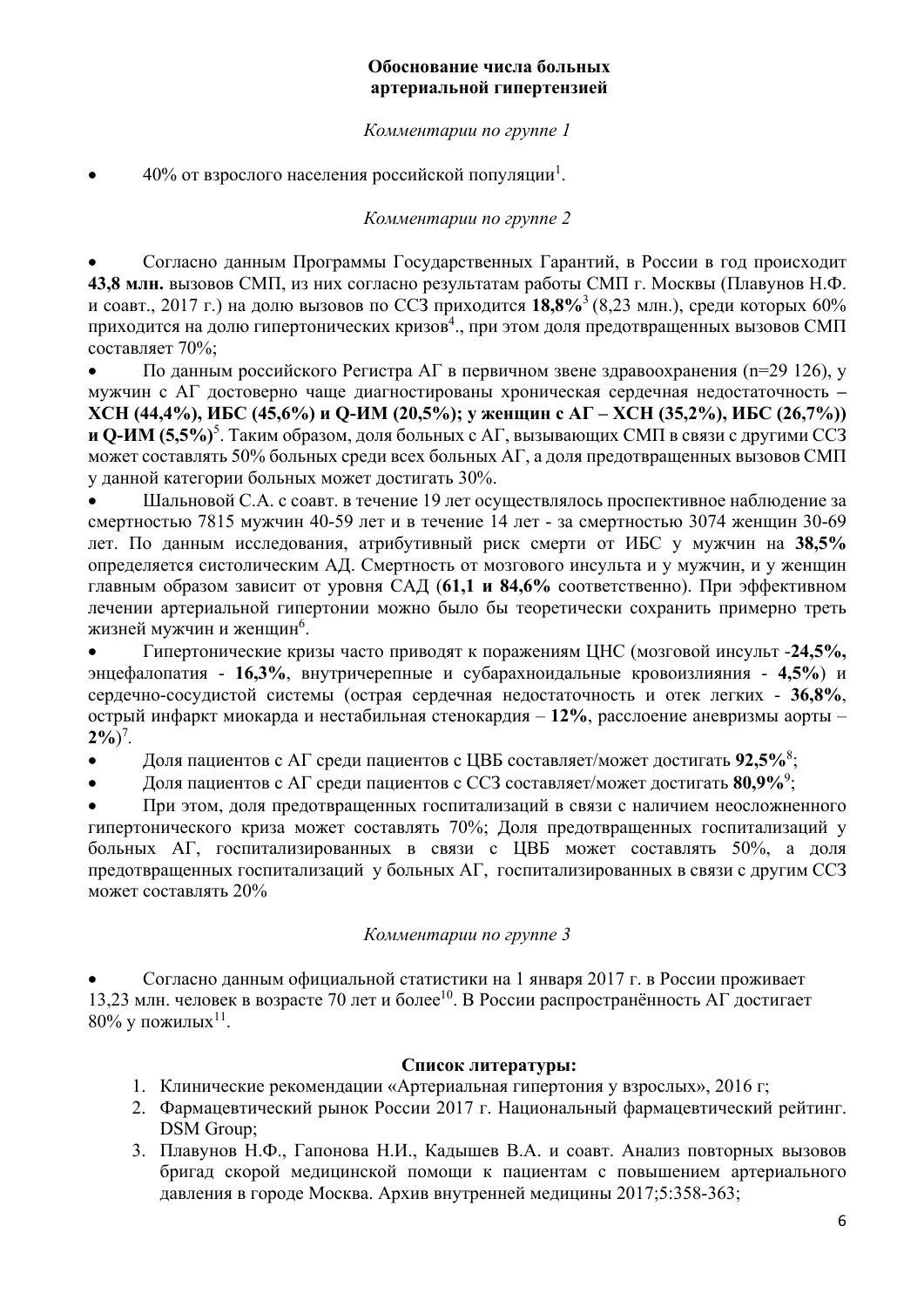## **Обоснование числа больных артериальной гипертензией**

## *Комментарии по группе 1*

• 40% от взрослого населения российской популяции<sup>1</sup>.

*Комментарии по группе 2* 

 Согласно данным Программы Государственных Гарантий, в России в год происходит **43,8 млн.** вызовов СМП, из них согласно результатам работы СМП г. Москвы (Плавунов Н.Ф. и соавт., 2017 г.) на долю вызовов по ССЗ приходится **18,8%**3 (8,23 млн.), среди которых 60% приходится на долю гипертонических кризов $^4$ ., при этом доля предотвращенных вызовов СМП составляет 70%;

• По данным российского Регистра АГ в первичном звене здравоохранения (n=29 126), у мужчин с АГ достоверно чаще диагностированы хроническая сердечная недостаточность **– ХСН (44,4%), ИБС (45,6%) и Q-ИМ (20,5%); у женщин с АГ – ХСН (35,2%), ИБС (26,7%)) и Q-ИМ (5,5%)**<sup>5</sup> . Таким образом, доля больных с АГ, вызывающих СМП в связи с другими ССЗ может составлять 50% больных среди всех больных АГ, а доля предотвращенных вызовов СМП у данной категории больных может достигать 30%.

 Шальновой С.А. с соавт. в течение 19 лет осуществлялось проспективное наблюдение за смертностью 7815 мужчин 40-59 лет и в течение 14 лет - за смертностью 3074 женщин 30-69 лет. По данным исследования, атрибутивный риск смерти от ИБС у мужчин на **38,5%** определяется систолическим АД. Смертность от мозгового инсульта и у мужчин, и у женщин главным образом зависит от уровня САД (**61,1 и 84,6%** соответственно). При эффективном лечении артериальной гипертонии можно было бы теоретически сохранить примерно треть жизней мужчин и женщин $^6$ .

 Гипертонические кризы часто приводят к поражениям ЦНС (мозговой инсульт -**24,5%,** энцефалопатия - **16,3%**, внутричерепные и субарахноидальные кровоизлияния - **4,5%**) и сердечно-сосудистой системы (острая сердечная недостаточность и отек легких - **36,8%**, острый инфаркт миокарда и нестабильная стенокардия – **12%**, расслоение аневризмы аорты –  $2\%/0$ <sup>7</sup>.

Доля пациентов с АГ среди пациентов с ЦВБ составляет/может достигать **92,5%**<sup>8</sup> ;

Доля пациентов с АГ среди пациентов с ССЗ составляет/может достигать **80,9%**<sup>9</sup> ;

 При этом, доля предотвращенных госпитализаций в связи с наличием неосложненного гипертонического криза может составлять 70%; Доля предотвращенных госпитализаций у больных АГ, госпитализированных в связи с ЦВБ может составлять 50%, а доля предотвращенных госпитализаций у больных АГ, госпитализированных в связи с другим ССЗ может составлять 20%

*Комментарии по группе 3* 

 Согласно данным официальной статистики на 1 января 2017 г. в России проживает 13,23 млн. человек в возрасте 70 лет и более<sup>10</sup>. В России распространённость АГ достигает  $80\%$  у пожилых<sup>11</sup>.

## **Список литературы:**

- 1. Клинические рекомендации «Артериальная гипертония у взрослых», 2016 г;
- 2. Фармацевтический рынок России 2017 г. Национальный фармацевтический рейтинг. DSM Group;
- 3. Плавунов Н.Ф., Гапонова Н.И., Кадышев В.А. и соавт. Анализ повторных вызовов бригад скорой медицинской помощи к пациентам с повышением артериального давления в городе Москва. Архив внутренней медицины 2017;5:358-363;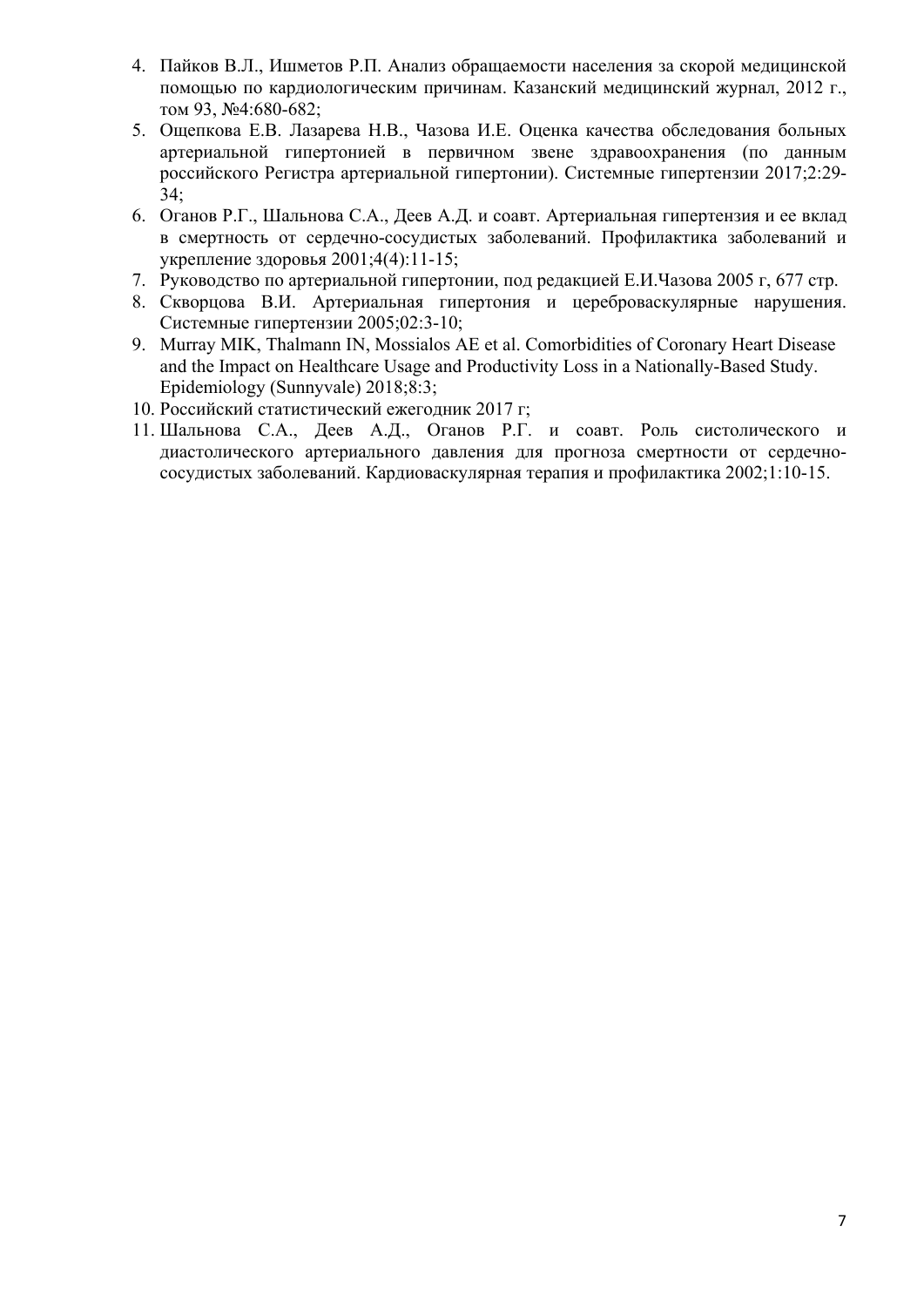- 4. Пайков В.Л., Ишметов Р.П. Анализ обращаемости населения за скорой медицинской помощью по кардиологическим причинам. Казанский медицинский журнал, 2012 г., том 93, №4:680-682;
- 5. Ощепкова Е.В. Лазарева Н.В., Чазова И.Е. Оценка качества обследования больных артериальной гипертонией в первичном звене здравоохранения (по данным российского Регистра артериальной гипертонии). Системные гипертензии 2017;2:29- 34;
- 6. Оганов Р.Г., Шальнова С.А., Деев А.Д. и соавт. Артериальная гипертензия и ее вклад в смертность от сердечно-сосудистых заболеваний. Профилактика заболеваний и укрепление здоровья 2001;4(4):11-15;
- 7. Руководство по артериальной гипертонии, под редакцией Е.И.Чазова 2005 г, 677 стр.
- 8. Скворцова В.И. Артериальная гипертония и цереброваскулярные нарушения. Системные гипертензии 2005;02:3-10;
- 9. Murray MIK, Thalmann IN, Mossialos AE et al. Comorbidities of Coronary Heart Disease and the Impact on Healthcare Usage and Productivity Loss in a Nationally-Based Study. Epidemiology (Sunnyvale) 2018;8:3;
- 10. Российский статистический ежегодник 2017 г;
- 11. Шальнова С.А., Деев А.Д., Оганов Р.Г. и соавт. Роль систолического и диастолического артериального давления для прогноза смертности от сердечнососудистых заболеваний. Кардиоваскулярная терапия и профилактика 2002;1:10-15.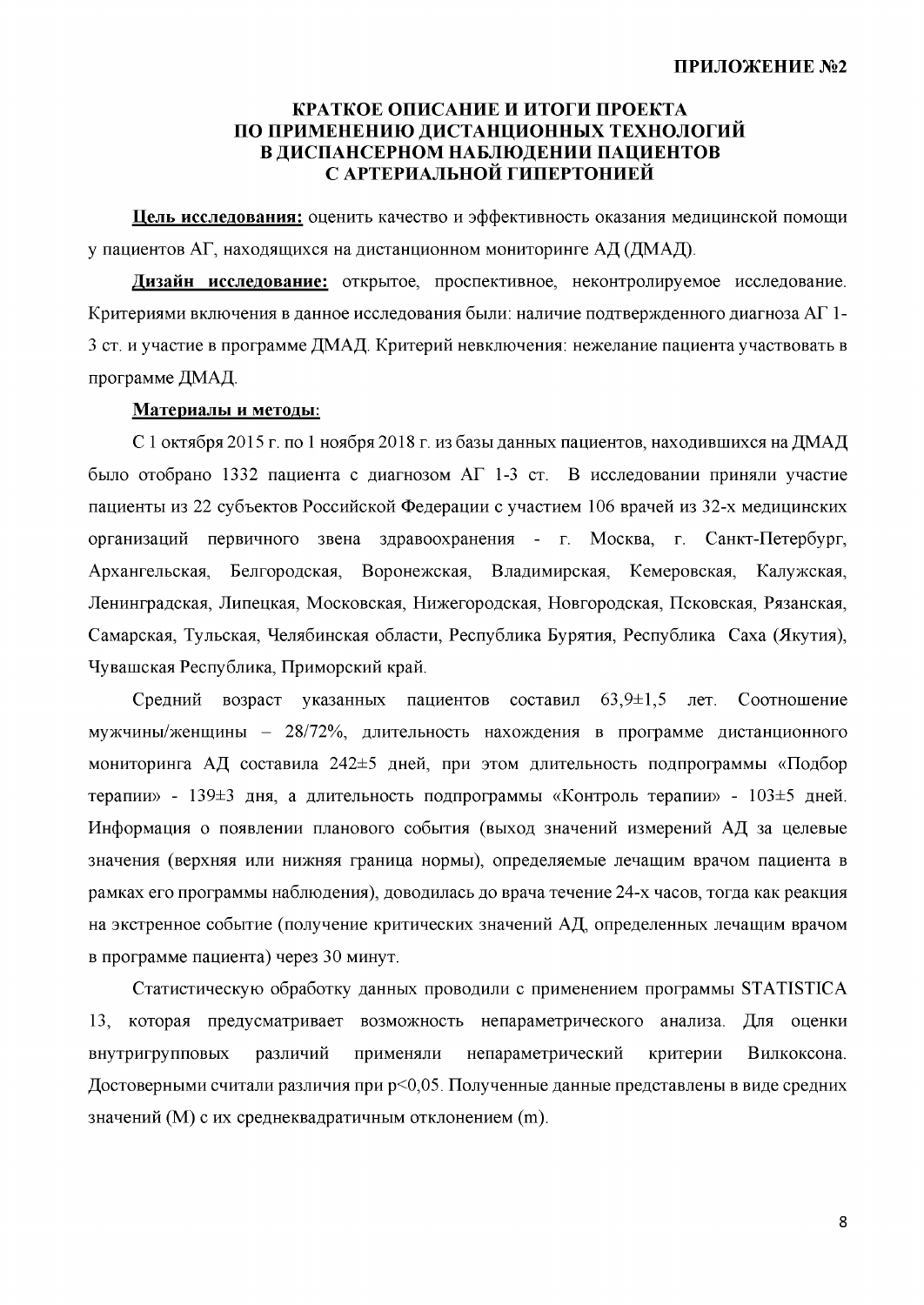### КРАТКОЕ ОПИСАНИЕ И ИТОГИ ПРОЕКТА ПО ПРИМЕНЕНИЮ ДИСТАНЦИОННЫХ ТЕХНОЛОГИЙ В ДИСПАНСЕРНОМ НАБЛЮДЕНИИ ПАЦИЕНТОВ С АРТЕРИАЛЬНОЙ ГИПЕРТОНИЕЙ

Цель исследования: оценить качество и эффективность оказания медицинской помощи у пациентов АГ, находящихся на дистанционном мониторинге АД (ДМАД).

Дизайн исследование: открытое, проспективное, неконтролируемое исследование. Критериями включения в данное исследования были: наличие подтвержденного диагноза АГ 1-3 ст. и участие в программе ДМАД. Критерий невключения: нежелание пациента участвовать в программе ДМАД.

### Материалы и методы:

С 1 октября 2015 г. по 1 ноября 2018 г. из базы данных пациентов, находившихся на ДМАД было отобрано 1332 пациента с диагнозом АГ 1-3 ст. В исследовании приняли участие пациенты из 22 субъектов Российской Федерации с участием 106 врачей из 32-х медицинских организаций первичного звена здравоохранения - г. Москва, г. Санкт-Петербург, Архангельская, Белгородская. Воронежская, Владимирская, Кемеровская. Калужская, Ленинградская, Липецкая, Московская, Нижегородская, Новгородская, Псковская, Рязанская, Самарская, Тульская, Челябинская области, Республика Бурятия, Республика Саха (Якутия), Чувашская Республика, Приморский край.

Средний возраст указанных пациентов составил  $63,9\pm1,5$ лет. Соотношение мужчины/женщины - 28/72%, длительность нахождения в программе дистанционного мониторинга АД составила 242±5 дней, при этом длительность подпрограммы «Подбор терапии» - 139±3 дня, а длительность подпрограммы «Контроль терапии» - 103±5 дней. Информация о появлении планового события (выход значений измерений АД за целевые значения (верхняя или нижняя граница нормы), определяемые лечащим врачом пациента в рамках его программы наблюдения), доводилась до врача течение 24-х часов, тогда как реакция на экстренное событие (получение критических значений АД, определенных лечащим врачом в программе пациента) через 30 минут.

Статистическую обработку данных проводили с применением программы STATISTICA 13, которая предусматривает возможность непараметрического анализа. Для оценки внутригрупповых различий применяли непараметрический критерии Вилкоксона. Достоверными считали различия при р<0.05. Полученные данные представлены в виде средних значений (М) с их среднеквадратичным отклонением (m).

8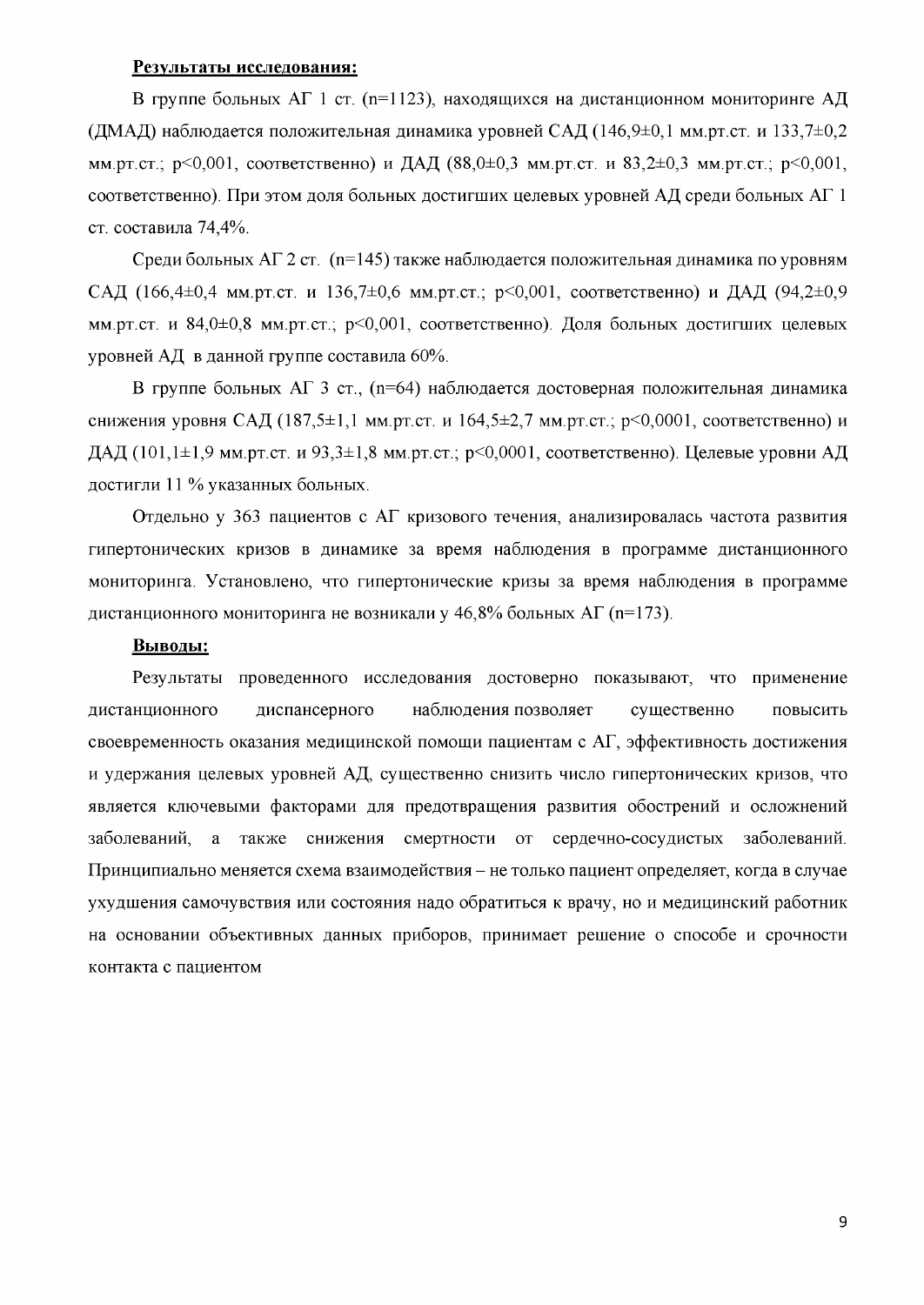#### Результаты исследования:

В группе больных АГ 1 ст. (n=1123), находящихся на дистанционном мониторинге АД (ДМАД) наблюдается положительная динамика уровней САД (146.9±0.1 мм.рт.ст. и 133.7±0.2 мм.рт.ст.; p<0,001, соответственно) и ДАД (88,0±0,3 мм.рт.ст. и 83,2±0,3 мм.рт.ст.; p<0,001, соответственно). При этом доля больных достигших целевых уровней АД среди больных АГ 1 ст. составила 74,4%.

Среди больных АГ 2 ст. (n=145) также наблюдается положительная динамика по уровням САД (166,4 $\pm$ 0,4 мм.рт.ст. и 136,7 $\pm$ 0,6 мм.рт.ст.; р<0,001, соответственно) и ДАД (94,2 $\pm$ 0,9 мм.рт.ст. и 84,0±0,8 мм.рт.ст.; р<0,001, соответственно). Доля больных достигших целевых уровней АД в данной группе составила 60%.

В группе больных АГ 3 ст., (n=64) наблюдается достоверная положительная динамика снижения уровня САД (187,5 $\pm$ 1,1 мм.рт.ст. и 164,5 $\pm$ 2,7 мм.рт.ст.; р<0,0001, соответственно) и ДАД (101,1±1,9 мм.рт.ст. и 93,3±1,8 мм.рт.ст.; р<0,0001, соответственно). Целевые уровни АД достигли 11 % указанных больных.

Отдельно у 363 пациентов с АГ кризового течения, анализировалась частота развития гипертонических кризов в динамике за время наблюдения в программе дистанционного мониторинга. Установлено, что гипертонические кризы за время наблюдения в программе дистанционного мониторинга не возникали у 46.8% больных АГ (n=173).

#### Выводы:

Результаты проведенного исследования достоверно показывают, что применение дистанционного диспансерного наблюдения позволяет существенно повысить своевременность оказания медицинской помощи пациентам с АГ, эффективность достижения и удержания целевых уровней АД, существенно снизить число гипертонических кризов, что является ключевыми факторами для предотвращения развития обострений и осложнений заболеваний, а также снижения смертности от сердечно-сосудистых заболеваний. Принципиально меняется схема взаимодействия - не только пациент определяет, когда в случае ухудшения самочувствия или состояния надо обратиться к врачу, но и медицинский работник на основании объективных данных приборов, принимает решение о способе и срочности контакта с пациентом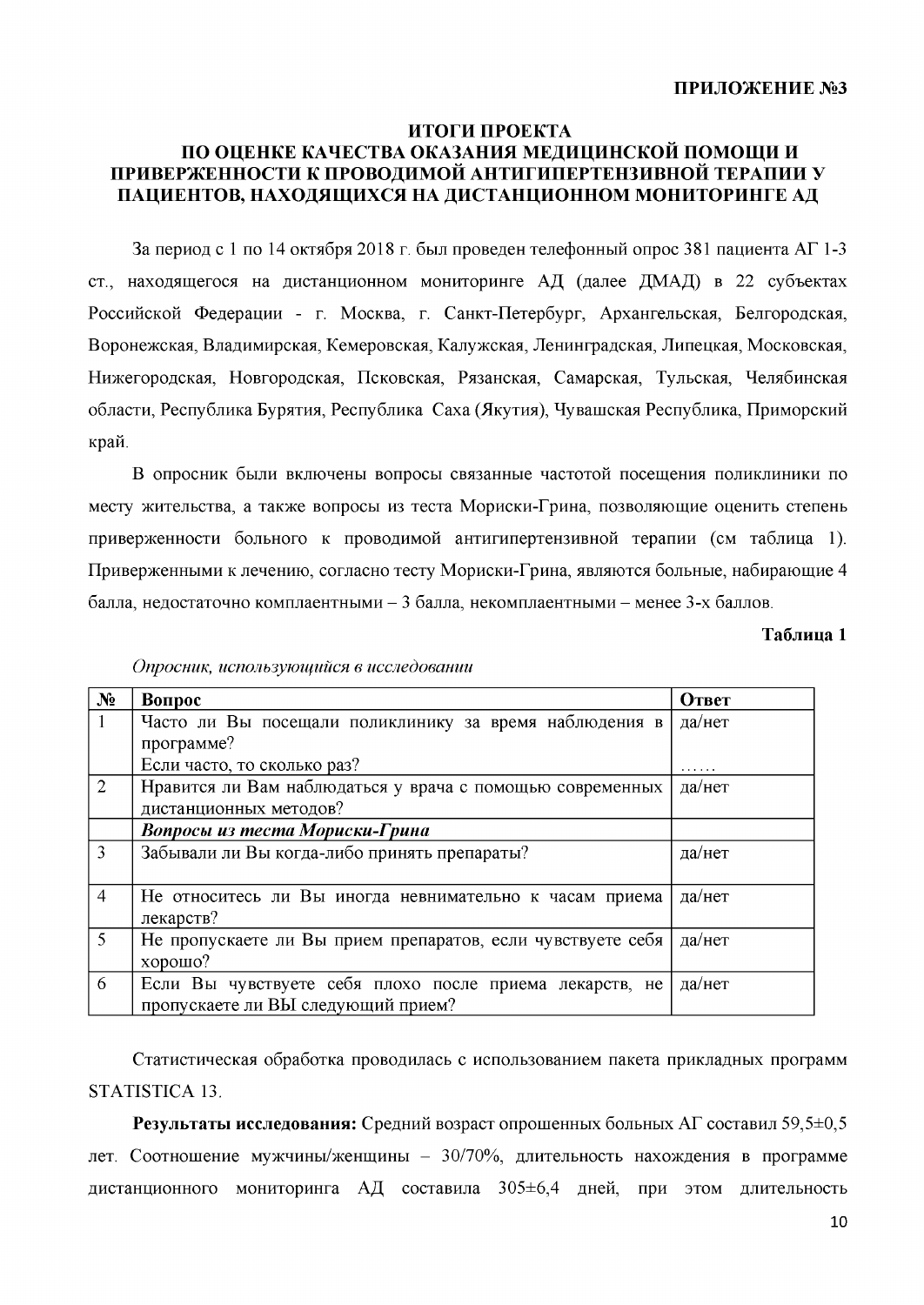#### ИТОГИ ПРОЕКТА

## ПО ОЦЕНКЕ КАЧЕСТВА ОКАЗАНИЯ МЕДИЦИНСКОЙ ПОМОЩИ И ПРИВЕРЖЕННОСТИ К ПРОВОДИМОЙ АНТИГИПЕРТЕНЗИВНОЙ ТЕРАПИИ У ПАЦИЕНТОВ, НАХОДЯЩИХСЯ НА ДИСТАНЦИОННОМ МОНИТОРИНГЕ АД

За период с 1 по 14 октября 2018 г. был проведен телефонный опрос 381 пациента АГ 1-3 ст., находящегося на дистанционном мониторинге АД (далее ДМАД) в 22 субъектах Российской Федерации - г. Москва, г. Санкт-Петербург, Архангельская, Белгородская, Воронежская, Владимирская, Кемеровская, Калужская, Ленинградская, Липецкая, Московская, Нижегородская, Новгородская, Псковская, Рязанская, Самарская, Тульская, Челябинская области, Республика Бурятия, Республика Саха (Якутия), Чувашская Республика, Приморский край.

В опросник были включены вопросы связанные частотой посещения поликлиники по месту жительства, а также вопросы из теста Мориски-Грина, позволяющие оценить степень приверженности больного к проводимой антигипертензивной терапии (см таблица 1). Приверженными к лечению, согласно тесту Мориски-Грина, являются больные, набирающие 4 балла, недостаточно комплаентными - 3 балла, некомплаентными - менее 3-х баллов.

#### Таблица 1

| N <sub>2</sub> | Вопрос                                                                                        | Ответ  |
|----------------|-----------------------------------------------------------------------------------------------|--------|
|                | Часто ли Вы посещали поликлинику за время наблюдения в                                        | да/нет |
|                | программе?                                                                                    |        |
|                | Если часто, то сколько раз?                                                                   | .      |
| 2              | Нравится ли Вам наблюдаться у врача с помощью современных                                     | да/нет |
|                | дистанционных методов?                                                                        |        |
|                | Вопросы из теста Мориски-Грина                                                                |        |
| 3              | Забывали ли Вы когда-либо принять препараты?                                                  | да/нет |
| $\overline{4}$ | Не относитесь ли Вы иногда невнимательно к часам приема<br>лекарств?                          | да/нет |
| 5              | Не пропускаете ли Вы прием препаратов, если чувствуете себя<br>хорошо?                        | да/нет |
| 6              | Если Вы чувствуете себя плохо после приема лекарств, не<br>пропускаете ли ВЫ следующий прием? | да/нет |

Опросник, использующийся в исследовании

Статистическая обработка проводилась с использованием пакета прикладных программ STATISTICA 13.

Результаты исследования: Средний возраст опрошенных больных АГ составил 59,5 $\pm$ 0,5 лет. Соотношение мужчины/женщины - 30/70%, длительность нахождения в программе дистанционного мониторинга АД составила 305±6,4 дней, при этом длительность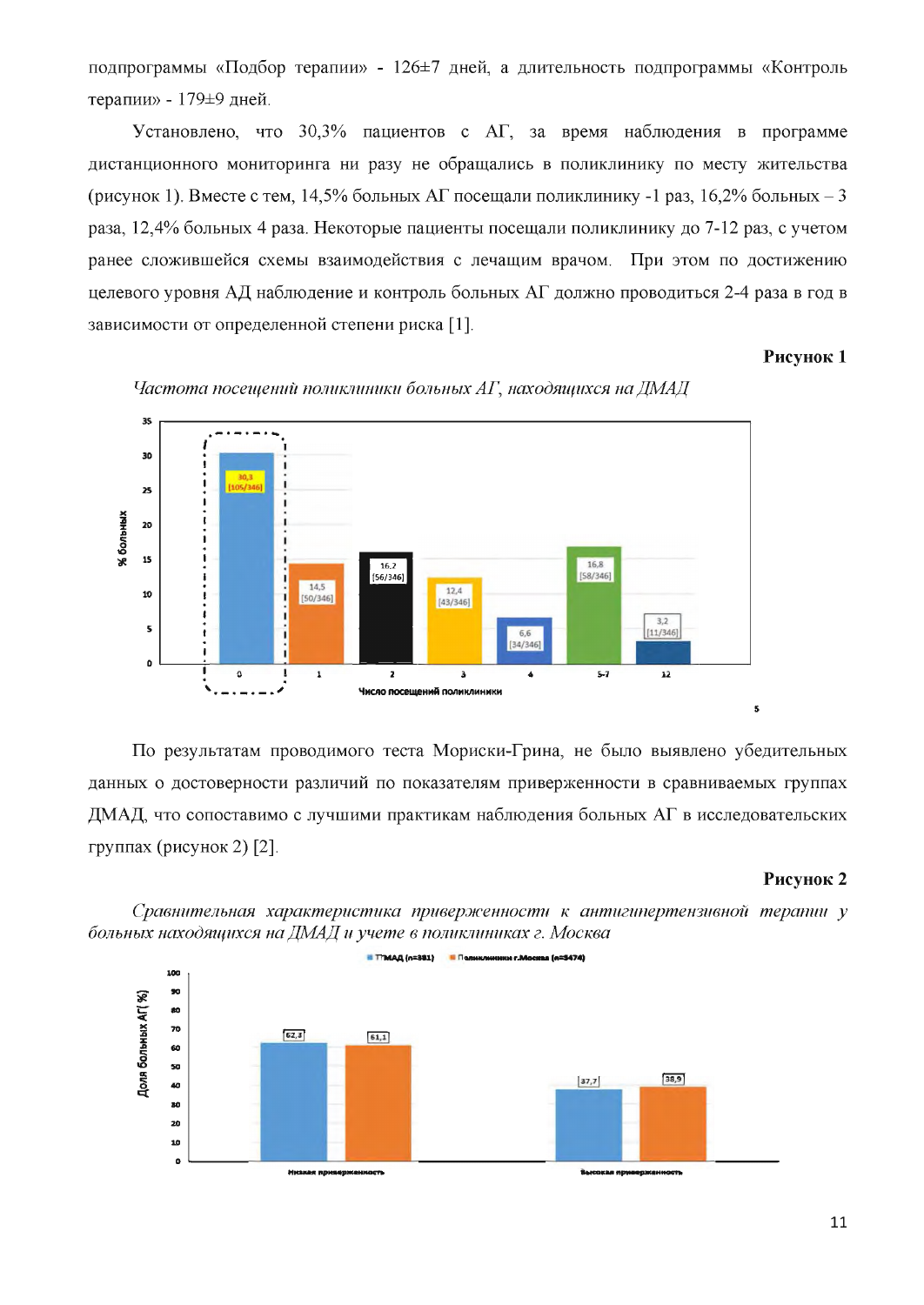подпрограммы «Подбор терапии» - 126±7 дней, а длительность подпрограммы «Контроль терапии» - 179±9 дней.

Установлено, что 30,3% пациентов с АГ, за время наблюдения в программе дистанционного мониторинга ни разу не обращались в поликлинику по месту жительства (рисунок 1). Вместе с тем, 14,5% больных АГ посещали поликлинику -1 раз, 16,2% больных - 3 раза, 12,4% больных 4 раза. Некоторые пациенты посещали поликлинику до 7-12 раз, с учетом ранее сложившейся схемы взаимодействия с лечащим врачом. При этом по достижению целевого уровня АД наблюдение и контроль больных АГ должно проводиться 2-4 раза в год в зависимости от определенной степени риска [1].

### Рисунок 1



Частота посещений поликлиники больных АГ, находящихся на ДМАД

По результатам проводимого теста Мориски-Грина, не было выявлено убедительных данных о достоверности различий по показателям приверженности в сравниваемых группах ДМАД, что сопоставимо с лучшими практикам наблюдения больных АГ в исследовательских группах (рисунок 2) [2].

#### Рисунок 2

Сравнительная характеристика приверженности к антигипертензивной терапии у больных находящихся на ДМАД и учете в поликлиниках г. Москва

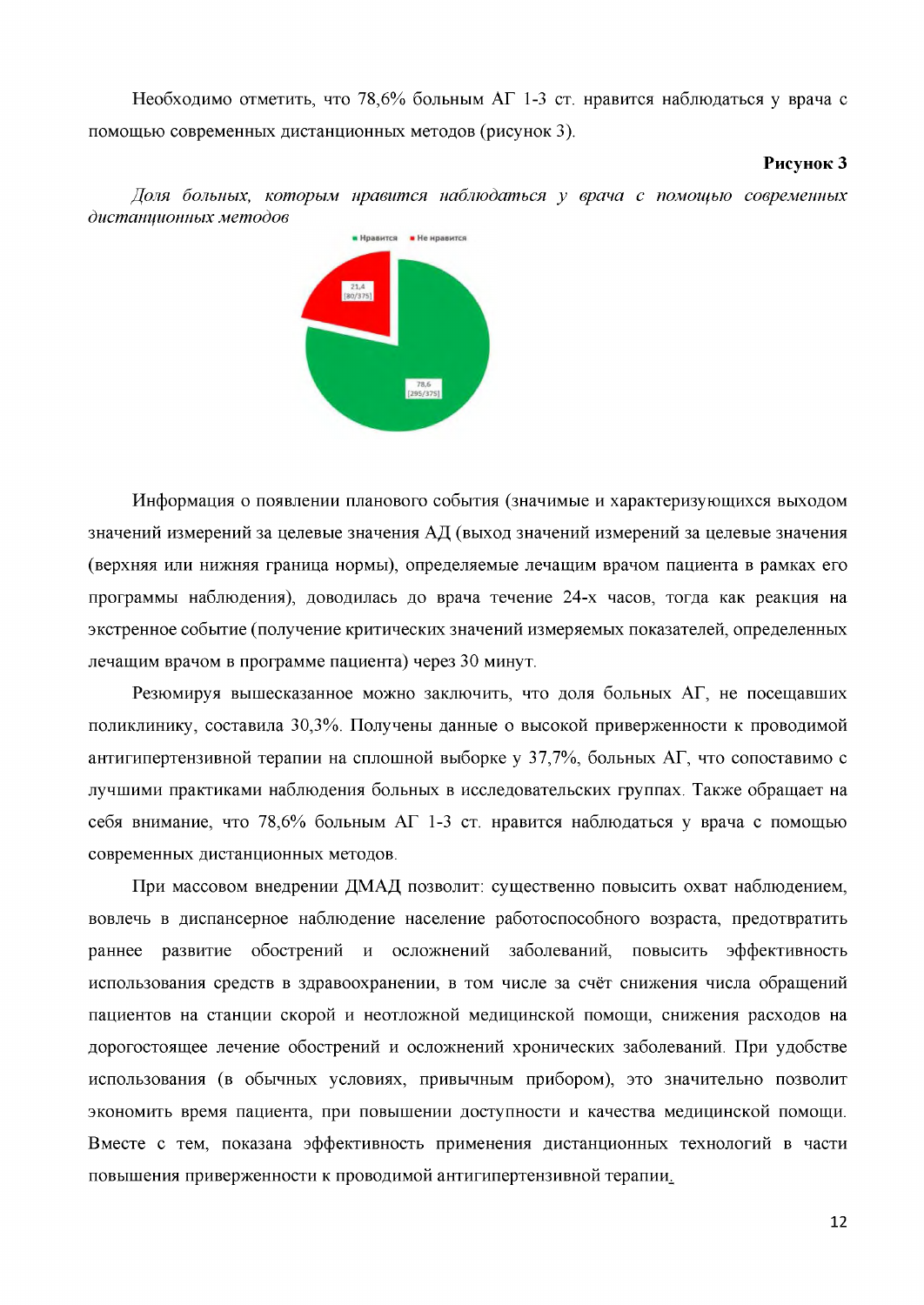Необходимо отметить, что 78,6% больным АГ 1-3 ст. нравится наблюдаться у врача с помощью современных дистанционных методов (рисунок 3).

#### Рисунок 3

 $H$  Ноавится  $H$ е ноавится 78,6<br>[295/375]

Доля больных, которым нравится наблюдаться у врача с помощью современных дистанционных методов

Информация о появлении планового события (значимые и характеризующихся выходом значений измерений за целевые значения АД (выход значений измерений за целевые значения (верхняя или нижняя граница нормы), определяемые лечащим врачом пациента в рамках его программы наблюдения), доводилась до врача течение 24-х часов, тогда как реакция на экстренное событие (получение критических значений измеряемых показателей, определенных лечащим врачом в программе пациента) через 30 минут.

Резюмируя вышесказанное можно заключить, что доля больных АГ, не посещавших поликлинику, составила 30,3%. Получены данные о высокой приверженности к проводимой антигипертензивной терапии на сплошной выборке у 37,7%, больных АГ, что сопоставимо с лучшими практиками наблюдения больных в исследовательских группах. Также обращает на себя внимание, что 78,6% больным АГ 1-3 ст. нравится наблюдаться у врача с помощью современных дистанционных методов.

При массовом внедрении ДМАД позволит: существенно повысить охват наблюдением, вовлечь в диспансерное наблюдение население работоспособного возраста, предотвратить раннее развитие обострений и осложнений заболеваний, повысить эффективность использования средств в здравоохранении, в том числе за счёт снижения числа обращений пациентов на станции скорой и неотложной медицинской помощи, снижения расходов на дорогостоящее лечение обострений и осложнений хронических заболеваний. При удобстве использования (в обычных условиях, привычным прибором), это значительно позволит экономить время пациента, при повышении доступности и качества медицинской помощи. Вместе с тем, показана эффективность применения дистанционных технологий в части повышения приверженности к проводимой антигипертензивной терапии.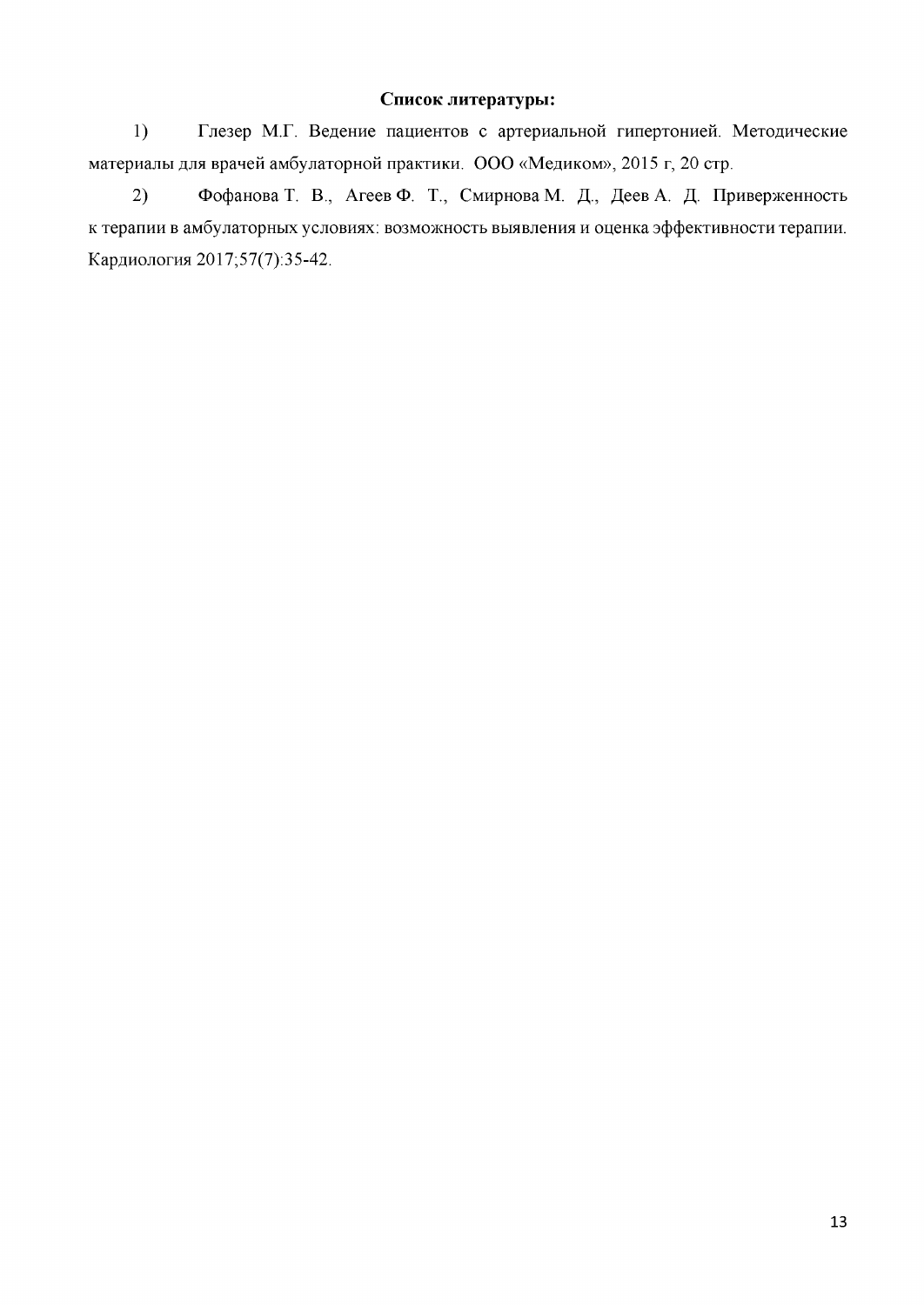# Список литературы:

 $1)$ Глезер М.Г. Ведение пациентов с артериальной гипертонией. Методические материалы для врачей амбулаторной практики. ООО «Медиком», 2015 г, 20 стр.

 $2)$ Фофанова Т. В., Агеев Ф. Т., Смирнова М. Д., Деев А. Д. Приверженность к терапии в амбулаторных условиях: возможность выявления и оценка эффективности терапии. Кардиология 2017;57(7):35-42.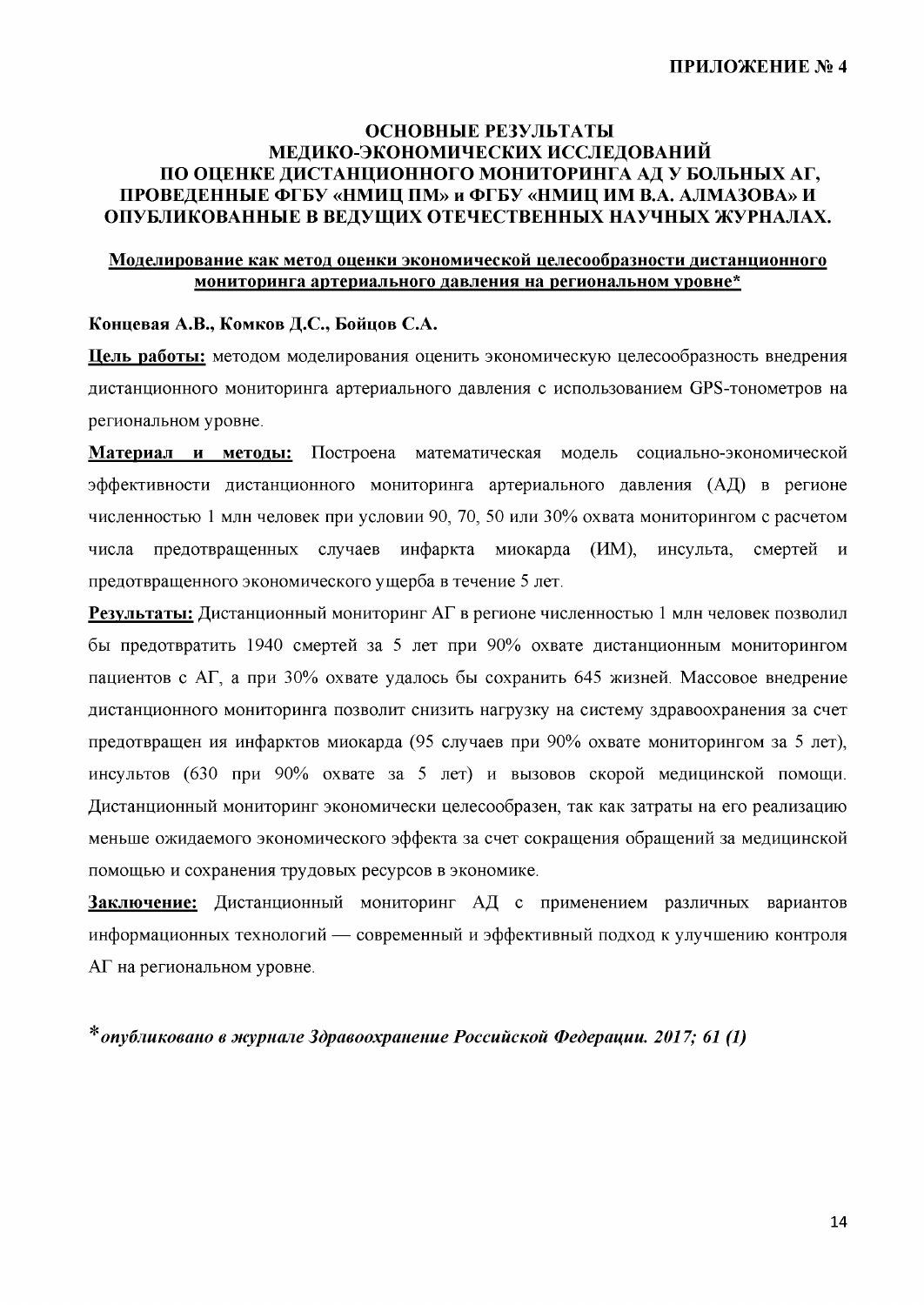## ОСНОВНЫЕ РЕЗУЛЬТАТЫ МЕДИКО-ЭКОНОМИЧЕСКИХ ИССЛЕДОВАНИЙ ПО ОЦЕНКЕ ДИСТАНЦИОННОГО МОНИТОРИНГА АД У БОЛЬНЫХ АГ, ПРОВЕДЕННЫЕ ФГБУ «НМИЦ ПМ» и ФГБУ «НМИЦ ИМ В.А. АЛМАЗОВА» И ОПУБЛИКОВАННЫЕ В ВЕДУЩИХ ОТЕЧЕСТВЕННЫХ НАУЧНЫХ ЖУРНАЛАХ.

## Моделирование как метод оценки экономической целесообразности дистанционного мониторинга артериального давления на региональном уровне\*

### Концевая А.В., Комков Д.С., Бойцов С.А.

Цель работы: методом моделирования оценить экономическую целесообразность внедрения дистанционного мониторинга артериального давления с использованием GPS-тонометров на региональном уровне.

Материал и методы: Построена математическая модель социально-экономической эффективности дистанционного мониторинга артериального давления (АД) в регионе численностью 1 млн человек при условии 90, 70, 50 или 30% охвата мониторингом с расчетом предотвращенных случаев инфаркта миокарда (ИМ), инсульта. числа смертей  $\overline{M}$ предотвращенного экономического ущерба в течение 5 лет.

Результаты: Дистанционный мониторинг АГ в регионе численностью 1 млн человек позволил бы предотвратить 1940 смертей за 5 лет при 90% охвате дистанционным мониторингом пациентов с АГ, а при 30% охвате удалось бы сохранить 645 жизней. Массовое внедрение дистанционного мониторинга позволит снизить нагрузку на систему здравоохранения за счет предотвращен ия инфарктов миокарда (95 случаев при 90% охвате мониторингом за 5 лет), инсультов (630 при 90% охвате за 5 лет) и вызовов скорой медицинской помощи. Дистанционный мониторинг экономически целесообразен, так как затраты на его реализацию меньше ожидаемого экономического эффекта за счет сокращения обращений за медицинской помощью и сохранения трудовых ресурсов в экономике.

Заключение: Дистанционный мониторинг АД с применением различных вариантов информационных технологий — современный и эффективный подход к улучшению контроля АГ на региональном уровне.

\* опубликовано в журнале Здравоохранение Российской Федерации. 2017; 61 (1)